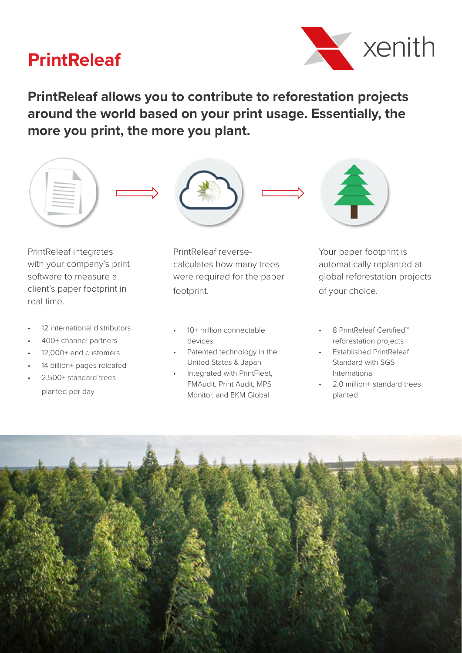# **PrintReleaf**



**PrintReleaf allows you to contribute to reforestation projects around the world based on your print usage. Essentially, the more you print, the more you plant.**



PrintReleaf integrates with your company's print software to measure a client's paper footprint in real time.

- 12 international distributors
- 400+ channel partners
- 12,000+ end customers
- 14 billion+ pages releafed
- 2,500+ standard trees planted per day

PrintReleaf reversecalculates how many trees were required for the paper footprint.

- 10+ million connectable devices
- Patented technology in the United States & Japan
- Integrated with PrintFleet, FMAudit, Print Audit, MPS Monitor, and EKM Global



Your paper footprint is automatically replanted at global reforestation projects of your choice.

- 8 PrintReleaf Certified™ reforestation projects
- Established PrintReleaf Standard with SGS International
- 2.0 million+ standard trees planted